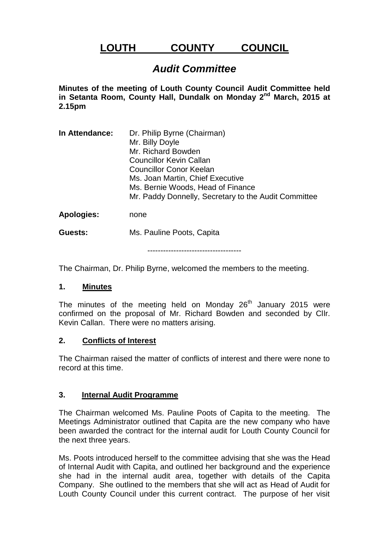# **LOUTH COUNTY COUNCIL**

# *Audit Committee*

**Minutes of the meeting of Louth County Council Audit Committee held in Setanta Room, County Hall, Dundalk on Monday 2nd March, 2015 at 2.15pm**

**In Attendance:** Dr. Philip Byrne (Chairman) Mr. Billy Doyle Mr. Richard Bowden Councillor Kevin Callan Councillor Conor Keelan Ms. Joan Martin, Chief Executive Ms. Bernie Woods, Head of Finance Mr. Paddy Donnelly, Secretary to the Audit Committee **Apologies:** none

**Guests:** Ms. Pauline Poots, Capita

------------------------------------

The Chairman, Dr. Philip Byrne, welcomed the members to the meeting.

## **1. Minutes**

The minutes of the meeting held on Monday  $26<sup>th</sup>$  January 2015 were confirmed on the proposal of Mr. Richard Bowden and seconded by Cllr. Kevin Callan. There were no matters arising.

## **2. Conflicts of Interest**

The Chairman raised the matter of conflicts of interest and there were none to record at this time.

# **3. Internal Audit Programme**

The Chairman welcomed Ms. Pauline Poots of Capita to the meeting. The Meetings Administrator outlined that Capita are the new company who have been awarded the contract for the internal audit for Louth County Council for the next three years.

Ms. Poots introduced herself to the committee advising that she was the Head of Internal Audit with Capita, and outlined her background and the experience she had in the internal audit area, together with details of the Capita Company. She outlined to the members that she will act as Head of Audit for Louth County Council under this current contract. The purpose of her visit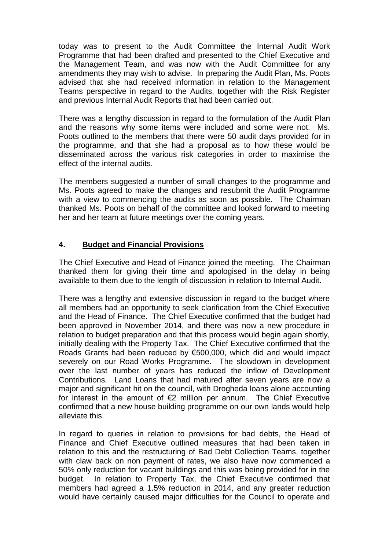today was to present to the Audit Committee the Internal Audit Work Programme that had been drafted and presented to the Chief Executive and the Management Team, and was now with the Audit Committee for any amendments they may wish to advise. In preparing the Audit Plan, Ms. Poots advised that she had received information in relation to the Management Teams perspective in regard to the Audits, together with the Risk Register and previous Internal Audit Reports that had been carried out.

There was a lengthy discussion in regard to the formulation of the Audit Plan and the reasons why some items were included and some were not. Ms. Poots outlined to the members that there were 50 audit days provided for in the programme, and that she had a proposal as to how these would be disseminated across the various risk categories in order to maximise the effect of the internal audits.

The members suggested a number of small changes to the programme and Ms. Poots agreed to make the changes and resubmit the Audit Programme with a view to commencing the audits as soon as possible. The Chairman thanked Ms. Poots on behalf of the committee and looked forward to meeting her and her team at future meetings over the coming years.

# **4. Budget and Financial Provisions**

The Chief Executive and Head of Finance joined the meeting. The Chairman thanked them for giving their time and apologised in the delay in being available to them due to the length of discussion in relation to Internal Audit.

There was a lengthy and extensive discussion in regard to the budget where all members had an opportunity to seek clarification from the Chief Executive and the Head of Finance. The Chief Executive confirmed that the budget had been approved in November 2014, and there was now a new procedure in relation to budget preparation and that this process would begin again shortly, initially dealing with the Property Tax. The Chief Executive confirmed that the Roads Grants had been reduced by €500,000, which did and would impact severely on our Road Works Programme. The slowdown in development over the last number of years has reduced the inflow of Development Contributions. Land Loans that had matured after seven years are now a major and significant hit on the council, with Drogheda loans alone accounting for interest in the amount of  $\epsilon$ 2 million per annum. The Chief Executive confirmed that a new house building programme on our own lands would help alleviate this.

In regard to queries in relation to provisions for bad debts, the Head of Finance and Chief Executive outlined measures that had been taken in relation to this and the restructuring of Bad Debt Collection Teams, together with claw back on non payment of rates, we also have now commenced a 50% only reduction for vacant buildings and this was being provided for in the budget. In relation to Property Tax, the Chief Executive confirmed that members had agreed a 1.5% reduction in 2014, and any greater reduction would have certainly caused major difficulties for the Council to operate and